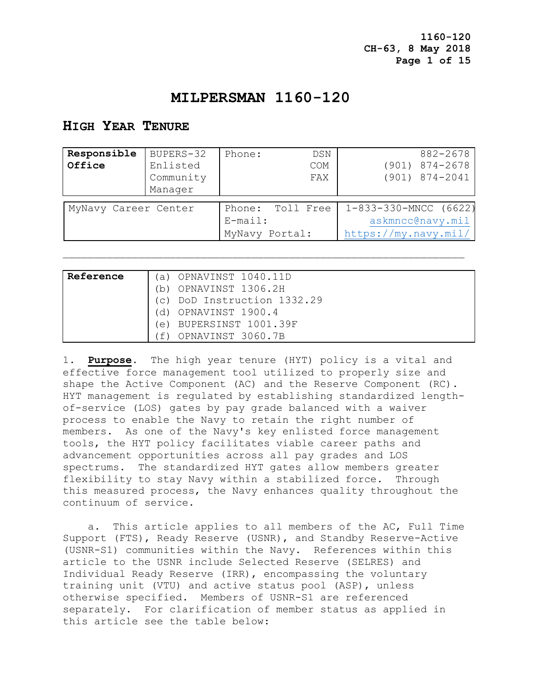# **MILPERSMAN 1160-120**

## **HIGH YEAR TENURE**

| Responsible          | BUPERS-32 | Phone:         | DSN        | 882-2678                |
|----------------------|-----------|----------------|------------|-------------------------|
| Office               | Enlisted  |                | <b>COM</b> | $(901)$ $874 - 2678$    |
|                      | Community |                | FAX        | $(901)$ $874 - 2041$    |
|                      | Manager   |                |            |                         |
| Phone: Toll Free     |           |                |            |                         |
| MyNavy Career Center |           |                |            | $1-833-330-MNCC$ (6622) |
|                      |           | $E$ -mail:     |            | askmncc@navy.mil        |
|                      |           | MyNavy Portal: |            | https://my.navy.mil/    |

| Reference | OPNAVINST 1040.11D<br>$\cup$                         |
|-----------|------------------------------------------------------|
|           | OPNAVINST 1306.2H<br>h)                              |
|           | DoD Instruction 1332.29<br>$\left( \bigcirc \right)$ |
|           | OPNAVINST 1900.4<br>G)                               |
|           | BUPERSINST 1001.39F<br>$\Theta$ )                    |
|           | OPNAVINST 3060.7B                                    |

1. **Purpose**.The high year tenure (HYT) policy is a vital and effective force management tool utilized to properly size and shape the Active Component (AC) and the Reserve Component (RC). HYT management is regulated by establishing standardized lengthof-service (LOS) gates by pay grade balanced with a waiver process to enable the Navy to retain the right number of members. As one of the Navy's key enlisted force management tools, the HYT policy facilitates viable career paths and advancement opportunities across all pay grades and LOS spectrums. The standardized HYT gates allow members greater flexibility to stay Navy within a stabilized force. Through this measured process, the Navy enhances quality throughout the continuum of service.

 a. This article applies to all members of the AC, Full Time Support (FTS), Ready Reserve (USNR), and Standby Reserve-Active (USNR-S1) communities within the Navy. References within this article to the USNR include Selected Reserve (SELRES) and Individual Ready Reserve (IRR), encompassing the voluntary training unit (VTU) and active status pool (ASP), unless otherwise specified. Members of USNR-S1 are referenced separately. For clarification of member status as applied in this article see the table below: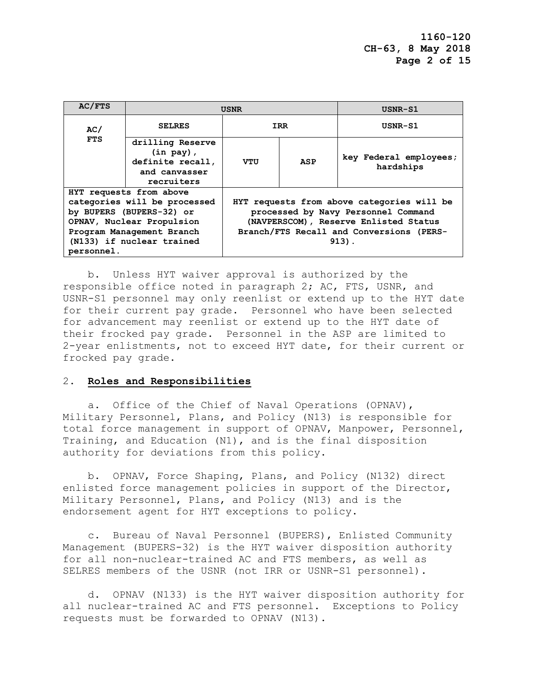| AC/FTS                                                                                                                                                                                   | <b>USNR</b>                                                                         |                                                                                                                                                                                   |     | USNR-S1                             |
|------------------------------------------------------------------------------------------------------------------------------------------------------------------------------------------|-------------------------------------------------------------------------------------|-----------------------------------------------------------------------------------------------------------------------------------------------------------------------------------|-----|-------------------------------------|
| AC/                                                                                                                                                                                      | <b>SELRES</b>                                                                       | <b>IRR</b>                                                                                                                                                                        |     | USNR-S1                             |
| <b>FTS</b>                                                                                                                                                                               | drilling Reserve<br>$(in pay)$ ,<br>definite recall,<br>and canvasser<br>recruiters | VTU                                                                                                                                                                               | ASP | key Federal employees;<br>hardships |
| HYT requests from above<br>categories will be processed<br>by BUPERS (BUPERS-32) or<br>OPNAV, Nuclear Propulsion<br>Program Management Branch<br>(N133) if nuclear trained<br>personnel. |                                                                                     | HYT requests from above categories will be<br>processed by Navy Personnel Command<br>(NAVPERSCOM), Reserve Enlisted Status<br>Branch/FTS Recall and Conversions (PERS-<br>$913$ . |     |                                     |

 b. Unless HYT waiver approval is authorized by the responsible office noted in paragraph 2; AC, FTS, USNR, and USNR-S1 personnel may only reenlist or extend up to the HYT date for their current pay grade. Personnel who have been selected for advancement may reenlist or extend up to the HYT date of their frocked pay grade. Personnel in the ASP are limited to 2-year enlistments, not to exceed HYT date, for their current or frocked pay grade.

#### 2. **Roles and Responsibilities**

 a. Office of the Chief of Naval Operations (OPNAV), Military Personnel, Plans, and Policy (N13) is responsible for total force management in support of OPNAV, Manpower, Personnel, Training, and Education (N1), and is the final disposition authority for deviations from this policy.

 b. OPNAV, Force Shaping, Plans, and Policy (N132) direct enlisted force management policies in support of the Director, Military Personnel, Plans, and Policy (N13) and is the endorsement agent for HYT exceptions to policy.

 c. Bureau of Naval Personnel (BUPERS), Enlisted Community Management (BUPERS-32) is the HYT waiver disposition authority for all non-nuclear-trained AC and FTS members, as well as SELRES members of the USNR (not IRR or USNR-S1 personnel).

 d. OPNAV (N133) is the HYT waiver disposition authority for all nuclear-trained AC and FTS personnel. Exceptions to Policy requests must be forwarded to OPNAV (N13).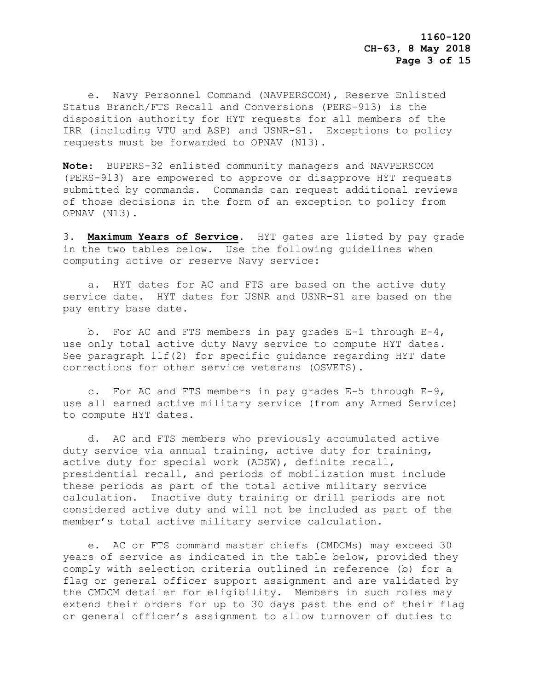e. Navy Personnel Command (NAVPERSCOM), Reserve Enlisted Status Branch/FTS Recall and Conversions (PERS-913) is the disposition authority for HYT requests for all members of the IRR (including VTU and ASP) and USNR-S1. Exceptions to policy requests must be forwarded to OPNAV (N13).

**Note**: BUPERS-32 enlisted community managers and NAVPERSCOM (PERS-913) are empowered to approve or disapprove HYT requests submitted by commands. Commands can request additional reviews of those decisions in the form of an exception to policy from OPNAV (N13).

3. **Maximum Years of Service**. HYT gates are listed by pay grade in the two tables below. Use the following guidelines when computing active or reserve Navy service:

 a. HYT dates for AC and FTS are based on the active duty service date. HYT dates for USNR and USNR-S1 are based on the pay entry base date.

 b. For AC and FTS members in pay grades E-1 through E-4, use only total active duty Navy service to compute HYT dates. See paragraph 11f(2) for specific guidance regarding HYT date corrections for other service veterans (OSVETS).

 c. For AC and FTS members in pay grades E-5 through E-9, use all earned active military service (from any Armed Service) to compute HYT dates.

 d. AC and FTS members who previously accumulated active duty service via annual training, active duty for training, active duty for special work (ADSW), definite recall, presidential recall, and periods of mobilization must include these periods as part of the total active military service calculation. Inactive duty training or drill periods are not considered active duty and will not be included as part of the member's total active military service calculation.

 e. AC or FTS command master chiefs (CMDCMs) may exceed 30 years of service as indicated in the table below, provided they comply with selection criteria outlined in reference (b) for a flag or general officer support assignment and are validated by the CMDCM detailer for eligibility. Members in such roles may extend their orders for up to 30 days past the end of their flag or general officer's assignment to allow turnover of duties to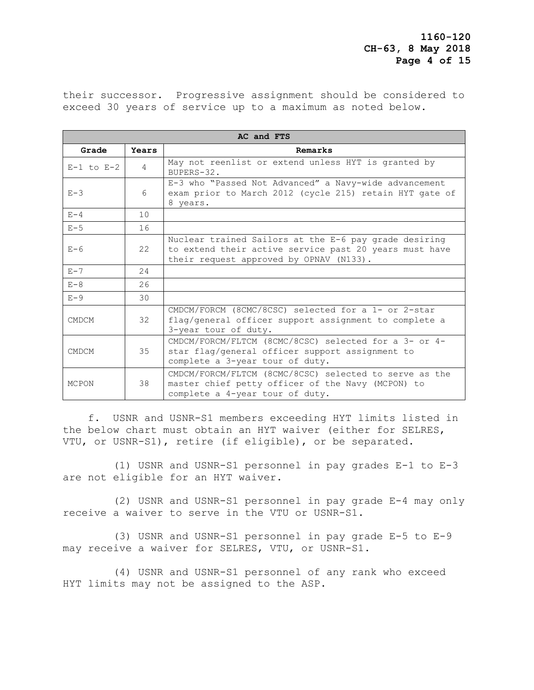their successor. Progressive assignment should be considered to exceed 30 years of service up to a maximum as noted below.

| AC and FTS     |                  |                                                                                                                                                            |  |
|----------------|------------------|------------------------------------------------------------------------------------------------------------------------------------------------------------|--|
| Grade          | Years            | Remarks                                                                                                                                                    |  |
| $E-1$ to $E-2$ | $\overline{4}$   | May not reenlist or extend unless HYT is granted by<br>BUPERS-32.                                                                                          |  |
| $E - 3$        | $6 \overline{6}$ | E-3 who "Passed Not Advanced" a Navy-wide advancement<br>exam prior to March 2012 (cycle 215) retain HYT gate of<br>8 years.                               |  |
| $E - 4$        | 10               |                                                                                                                                                            |  |
| $E-5$          | 16               |                                                                                                                                                            |  |
| $E-6$          | 22               | Nuclear trained Sailors at the E-6 pay grade desiring<br>to extend their active service past 20 years must have<br>their request approved by OPNAV (N133). |  |
| $E - 7$        | 24               |                                                                                                                                                            |  |
| $E - 8$        | 26               |                                                                                                                                                            |  |
| $E-9$          | 30               |                                                                                                                                                            |  |
| <b>CMDCM</b>   | 32               | CMDCM/FORCM (8CMC/8CSC) selected for a 1- or 2-star<br>flag/general officer support assignment to complete a<br>3-year tour of duty.                       |  |
| <b>CMDCM</b>   | 35               | CMDCM/FORCM/FLTCM (8CMC/8CSC) selected for a 3- or 4-<br>star flag/general officer support assignment to<br>complete a 3-year tour of duty.                |  |
| <b>MCPON</b>   | 38               | CMDCM/FORCM/FLTCM (8CMC/8CSC) selected to serve as the<br>master chief petty officer of the Navy (MCPON) to<br>complete a 4-year tour of duty.             |  |

 f. USNR and USNR-S1 members exceeding HYT limits listed in the below chart must obtain an HYT waiver (either for SELRES, VTU, or USNR-S1), retire (if eligible), or be separated.

 (1) USNR and USNR-S1 personnel in pay grades E-1 to E-3 are not eligible for an HYT waiver.

 (2) USNR and USNR-S1 personnel in pay grade E-4 may only receive a waiver to serve in the VTU or USNR-S1.

 (3) USNR and USNR-S1 personnel in pay grade E-5 to E-9 may receive a waiver for SELRES, VTU, or USNR-S1.

 (4) USNR and USNR-S1 personnel of any rank who exceed HYT limits may not be assigned to the ASP.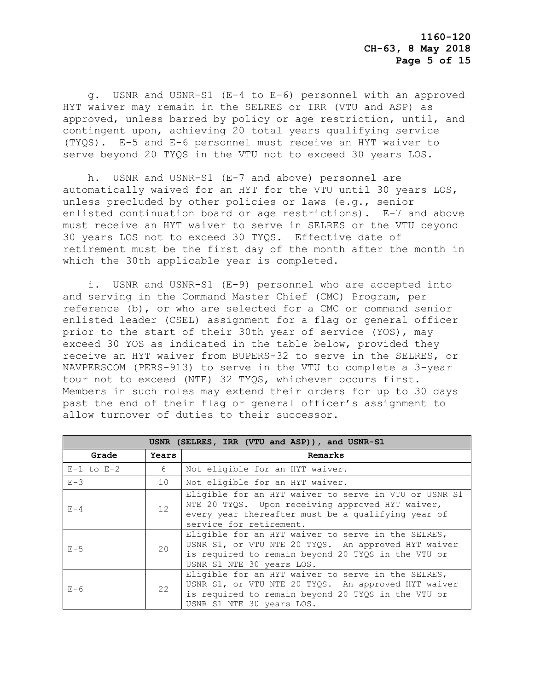g. USNR and USNR-S1 (E-4 to E-6) personnel with an approved HYT waiver may remain in the SELRES or IRR (VTU and ASP) as approved, unless barred by policy or age restriction, until, and contingent upon, achieving 20 total years qualifying service (TYQS). E-5 and E-6 personnel must receive an HYT waiver to serve beyond 20 TYQS in the VTU not to exceed 30 years LOS.

 h. USNR and USNR-S1 (E-7 and above) personnel are automatically waived for an HYT for the VTU until 30 years LOS, unless precluded by other policies or laws (e.g., senior enlisted continuation board or age restrictions). E-7 and above must receive an HYT waiver to serve in SELRES or the VTU beyond 30 years LOS not to exceed 30 TYQS. Effective date of retirement must be the first day of the month after the month in which the 30th applicable year is completed.

 i. USNR and USNR-S1 (E-9) personnel who are accepted into and serving in the Command Master Chief (CMC) Program, per reference (b), or who are selected for a CMC or command senior enlisted leader (CSEL) assignment for a flag or general officer prior to the start of their 30th year of service (YOS), may exceed 30 YOS as indicated in the table below, provided they receive an HYT waiver from BUPERS-32 to serve in the SELRES, or NAVPERSCOM (PERS-913) to serve in the VTU to complete a 3-year tour not to exceed (NTE) 32 TYQS, whichever occurs first. Members in such roles may extend their orders for up to 30 days past the end of their flag or general officer's assignment to allow turnover of duties to their successor.

| USNR (SELRES, IRR (VTU and ASP)), and USNR-S1 |       |                                                                                                                                                                                              |  |
|-----------------------------------------------|-------|----------------------------------------------------------------------------------------------------------------------------------------------------------------------------------------------|--|
| Grade                                         | Years | Remarks                                                                                                                                                                                      |  |
| $E-1$ to $E-2$                                | 6     | Not eligible for an HYT waiver.                                                                                                                                                              |  |
| $E - 3$                                       | 10    | Not eligible for an HYT waiver.                                                                                                                                                              |  |
| $E - 4$                                       | 12    | Eligible for an HYT waiver to serve in VTU or USNR S1<br>NTE 20 TYQS. Upon receiving approved HYT waiver,<br>every year thereafter must be a qualifying year of<br>service for retirement.   |  |
| $E-5$                                         | 20    | Eligible for an HYT waiver to serve in the SELRES,<br>USNR S1, or VTU NTE 20 TYQS. An approved HYT waiver<br>is required to remain beyond 20 TYQS in the VTU or<br>USNR S1 NTE 30 years LOS. |  |
| $E-6$                                         | 22    | Eligible for an HYT waiver to serve in the SELRES,<br>USNR S1, or VTU NTE 20 TYQS. An approved HYT waiver<br>is required to remain beyond 20 TYQS in the VTU or<br>USNR S1 NTE 30 years LOS. |  |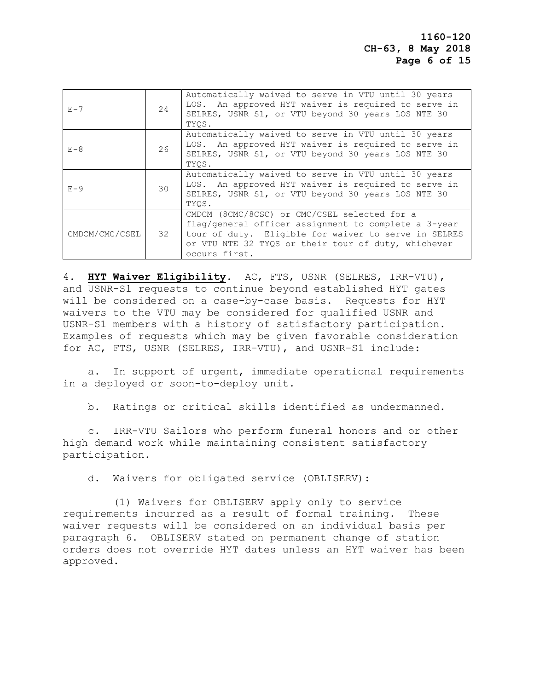| $E - 7$        | 24 | Automatically waived to serve in VTU until 30 years<br>LOS. An approved HYT waiver is required to serve in<br>SELRES, USNR S1, or VTU beyond 30 years LOS NTE 30<br>TYOS.                                                            |
|----------------|----|--------------------------------------------------------------------------------------------------------------------------------------------------------------------------------------------------------------------------------------|
| $E - 8$        | 26 | Automatically waived to serve in VTU until 30 years<br>LOS. An approved HYT waiver is required to serve in<br>SELRES, USNR S1, or VTU beyond 30 years LOS NTE 30<br>TYOS.                                                            |
| $E - 9$        | 30 | Automatically waived to serve in VTU until 30 years<br>LOS. An approved HYT waiver is required to serve in<br>SELRES, USNR S1, or VTU beyond 30 years LOS NTE 30<br>TYOS.                                                            |
| CMDCM/CMC/CSEL | 32 | CMDCM (8CMC/8CSC) or CMC/CSEL selected for a<br>flaq/qeneral officer assignment to complete a 3-year<br>tour of duty. Eligible for waiver to serve in SELRES<br>or VTU NTE 32 TYQS or their tour of duty, whichever<br>occurs first. |

4. **HYT Waiver Eligibility**. AC, FTS, USNR (SELRES, IRR-VTU), and USNR-S1 requests to continue beyond established HYT gates will be considered on a case-by-case basis. Requests for HYT waivers to the VTU may be considered for qualified USNR and USNR-S1 members with a history of satisfactory participation. Examples of requests which may be given favorable consideration for AC, FTS, USNR (SELRES, IRR-VTU), and USNR-S1 include:

 a. In support of urgent, immediate operational requirements in a deployed or soon-to-deploy unit.

b. Ratings or critical skills identified as undermanned.

 c. IRR-VTU Sailors who perform funeral honors and or other high demand work while maintaining consistent satisfactory participation.

d. Waivers for obligated service (OBLISERV):

 (1) Waivers for OBLISERV apply only to service requirements incurred as a result of formal training. These waiver requests will be considered on an individual basis per paragraph 6. OBLISERV stated on permanent change of station orders does not override HYT dates unless an HYT waiver has been approved.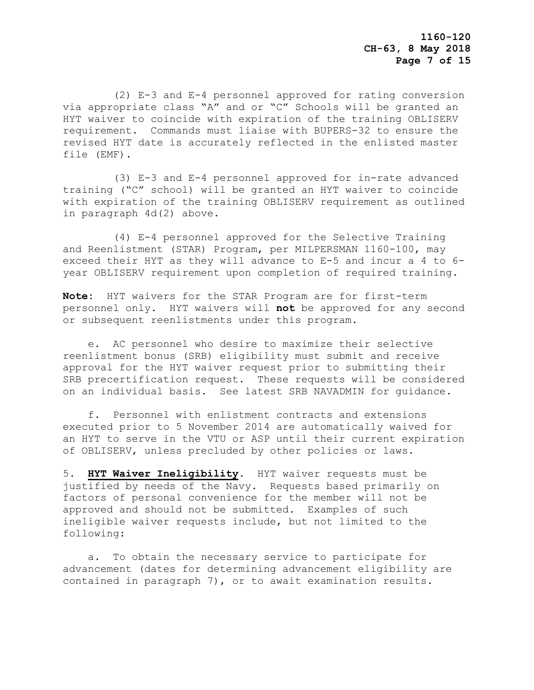(2) E-3 and E-4 personnel approved for rating conversion via appropriate class "A" and or "C" Schools will be granted an HYT waiver to coincide with expiration of the training OBLISERV requirement. Commands must liaise with BUPERS-32 to ensure the revised HYT date is accurately reflected in the enlisted master file (EMF).

 (3) E-3 and E-4 personnel approved for in-rate advanced training ("C" school) will be granted an HYT waiver to coincide with expiration of the training OBLISERV requirement as outlined in paragraph 4d(2) above.

 (4) E-4 personnel approved for the Selective Training and Reenlistment (STAR) Program, per MILPERSMAN 1160-100, may exceed their HYT as they will advance to E-5 and incur a 4 to 6 year OBLISERV requirement upon completion of required training.

**Note:** HYT waivers for the STAR Program are for first-term personnel only. HYT waivers will **not** be approved for any second or subsequent reenlistments under this program.

 e. AC personnel who desire to maximize their selective reenlistment bonus (SRB) eligibility must submit and receive approval for the HYT waiver request prior to submitting their SRB precertification request. These requests will be considered on an individual basis. See latest SRB NAVADMIN for guidance.

 f. Personnel with enlistment contracts and extensions executed prior to 5 November 2014 are automatically waived for an HYT to serve in the VTU or ASP until their current expiration of OBLISERV, unless precluded by other policies or laws.

5. **HYT Waiver Ineligibility**. HYT waiver requests must be justified by needs of the Navy. Requests based primarily on factors of personal convenience for the member will not be approved and should not be submitted. Examples of such ineligible waiver requests include, but not limited to the following:

 a. To obtain the necessary service to participate for advancement (dates for determining advancement eligibility are contained in paragraph 7), or to await examination results.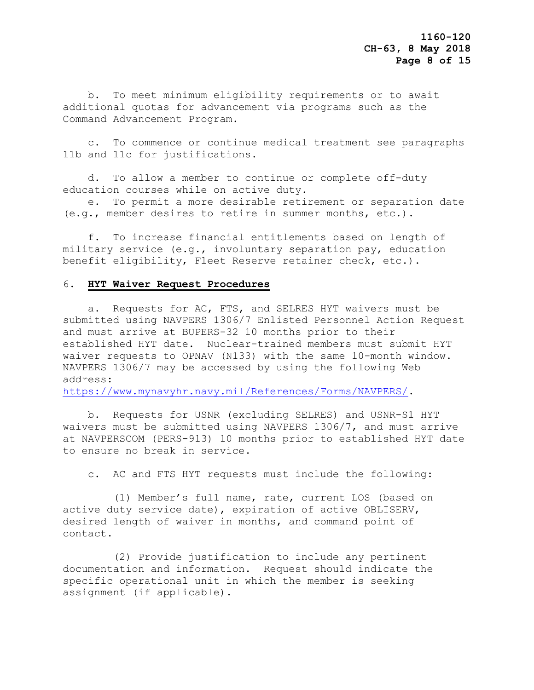b. To meet minimum eligibility requirements or to await additional quotas for advancement via programs such as the Command Advancement Program.

 c. To commence or continue medical treatment see paragraphs 11b and 11c for justifications.

 d. To allow a member to continue or complete off-duty education courses while on active duty.

 e. To permit a more desirable retirement or separation date (e.g., member desires to retire in summer months, etc.).

 f. To increase financial entitlements based on length of military service (e.g., involuntary separation pay, education benefit eligibility, Fleet Reserve retainer check, etc.).

### 6. **HYT Waiver Request Procedures**

 a. Requests for AC, FTS, and SELRES HYT waivers must be submitted using NAVPERS 1306/7 Enlisted Personnel Action Request and must arrive at BUPERS-32 10 months prior to their established HYT date. Nuclear-trained members must submit HYT waiver requests to OPNAV (N133) with the same 10-month window. NAVPERS 1306/7 may be accessed by using the following Web address:

[https://www.mynavyhr.navy.mil/References/Forms/NAVPERS/.](https://www.mynavyhr.navy.mil/References/Forms/NAVPERS/)

 b. Requests for USNR (excluding SELRES) and USNR-S1 HYT waivers must be submitted using NAVPERS 1306/7, and must arrive at NAVPERSCOM (PERS-913) 10 months prior to established HYT date to ensure no break in service.

c. AC and FTS HYT requests must include the following:

 (1) Member's full name, rate, current LOS (based on active duty service date), expiration of active OBLISERV, desired length of waiver in months, and command point of contact.

 (2) Provide justification to include any pertinent documentation and information. Request should indicate the specific operational unit in which the member is seeking assignment (if applicable).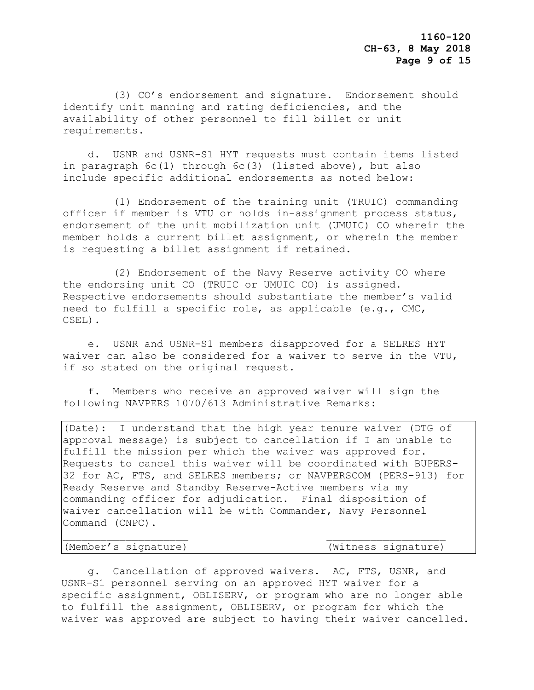(3) CO's endorsement and signature. Endorsement should identify unit manning and rating deficiencies, and the availability of other personnel to fill billet or unit requirements.

 d. USNR and USNR-S1 HYT requests must contain items listed in paragraph 6c(1) through 6c(3) (listed above), but also include specific additional endorsements as noted below:

 (1) Endorsement of the training unit (TRUIC) commanding officer if member is VTU or holds in-assignment process status, endorsement of the unit mobilization unit (UMUIC) CO wherein the member holds a current billet assignment, or wherein the member is requesting a billet assignment if retained.

 (2) Endorsement of the Navy Reserve activity CO where the endorsing unit CO (TRUIC or UMUIC CO) is assigned. Respective endorsements should substantiate the member's valid need to fulfill a specific role, as applicable (e.g., CMC, CSEL).

 e. USNR and USNR-S1 members disapproved for a SELRES HYT waiver can also be considered for a waiver to serve in the VTU, if so stated on the original request.

 f. Members who receive an approved waiver will sign the following NAVPERS 1070/613 Administrative Remarks:

(Date): I understand that the high year tenure waiver (DTG of approval message) is subject to cancellation if I am unable to fulfill the mission per which the waiver was approved for. Requests to cancel this waiver will be coordinated with BUPERS-32 for AC, FTS, and SELRES members; or NAVPERSCOM (PERS-913) for Ready Reserve and Standby Reserve-Active members via my commanding officer for adjudication. Final disposition of waiver cancellation will be with Commander, Navy Personnel Command (CNPC).

(Member's signature) (Witness signature)

 g. Cancellation of approved waivers**.** AC, FTS, USNR, and USNR-S1 personnel serving on an approved HYT waiver for a specific assignment, OBLISERV, or program who are no longer able to fulfill the assignment, OBLISERV, or program for which the waiver was approved are subject to having their waiver cancelled.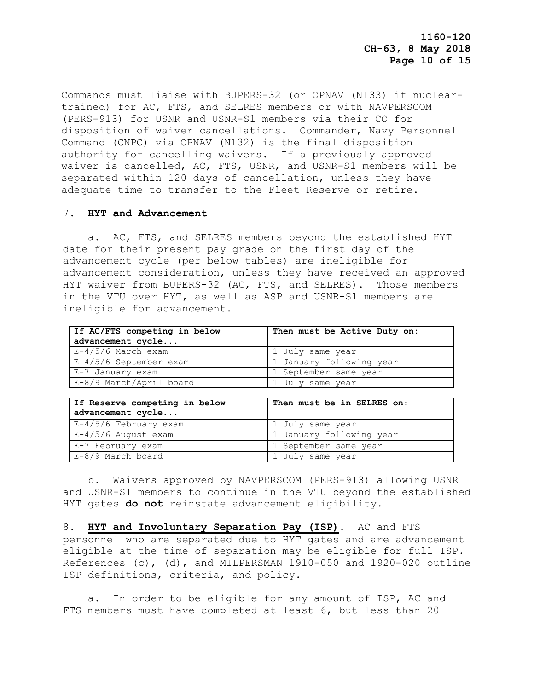Commands must liaise with BUPERS-32 (or OPNAV (N133) if nucleartrained) for AC, FTS, and SELRES members or with NAVPERSCOM (PERS-913) for USNR and USNR-S1 members via their CO for disposition of waiver cancellations. Commander, Navy Personnel Command (CNPC) via OPNAV (N132) is the final disposition authority for cancelling waivers. If a previously approved waiver is cancelled, AC, FTS, USNR, and USNR-S1 members will be separated within 120 days of cancellation, unless they have adequate time to transfer to the Fleet Reserve or retire.

#### 7. **HYT and Advancement**

 a. AC, FTS, and SELRES members beyond the established HYT date for their present pay grade on the first day of the advancement cycle (per below tables) are ineligible for advancement consideration, unless they have received an approved HYT waiver from BUPERS-32 (AC, FTS, and SELRES). Those members in the VTU over HYT, as well as ASP and USNR-S1 members are ineligible for advancement.

| If AC/FTS competing in below | Then must be Active Duty on: |  |
|------------------------------|------------------------------|--|
| advancement cycle            |                              |  |
| $E-4/5/6$ March exam         | 1 July same year             |  |
| E-4/5/6 September exam       | 1 January following year     |  |
| E-7 January exam             | 1 September same year        |  |
| E-8/9 March/April board      | 1 July same year             |  |

| If Reserve competing in below<br>advancement cycle | Then must be in SELRES on: |
|----------------------------------------------------|----------------------------|
| E-4/5/6 February exam                              | 1 July same year           |
| E-4/5/6 August exam                                | 1 January following year   |
| E-7 February exam                                  | 1 September same year      |
| E-8/9 March board                                  | 1 July same year           |

 b. Waivers approved by NAVPERSCOM (PERS-913) allowing USNR and USNR-S1 members to continue in the VTU beyond the established HYT gates **do not** reinstate advancement eligibility.

8. **HYT and Involuntary Separation Pay (ISP)**. AC and FTS personnel who are separated due to HYT gates and are advancement eligible at the time of separation may be eligible for full ISP. References (c), (d), and MILPERSMAN 1910-050 and 1920-020 outline ISP definitions, criteria, and policy.

 a. In order to be eligible for any amount of ISP, AC and FTS members must have completed at least 6, but less than 20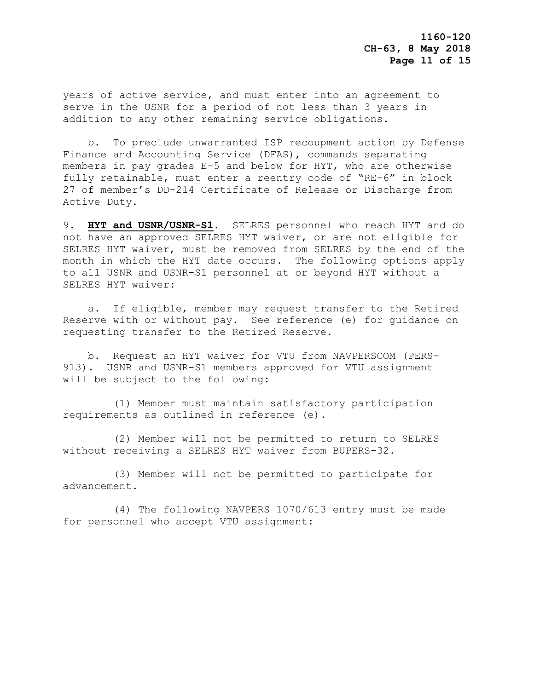years of active service, and must enter into an agreement to serve in the USNR for a period of not less than 3 years in addition to any other remaining service obligations.

 b. To preclude unwarranted ISP recoupment action by Defense Finance and Accounting Service (DFAS), commands separating members in pay grades E-5 and below for HYT, who are otherwise fully retainable, must enter a reentry code of "RE-6" in block 27 of member's DD-214 Certificate of Release or Discharge from Active Duty.

9. **HYT and USNR/USNR-S1**. SELRES personnel who reach HYT and do not have an approved SELRES HYT waiver, or are not eligible for SELRES HYT waiver, must be removed from SELRES by the end of the month in which the HYT date occurs. The following options apply to all USNR and USNR-S1 personnel at or beyond HYT without a SELRES HYT waiver:

 a. If eligible, member may request transfer to the Retired Reserve with or without pay. See reference (e) for guidance on requesting transfer to the Retired Reserve.

 b. Request an HYT waiver for VTU from NAVPERSCOM (PERS-913). USNR and USNR-S1 members approved for VTU assignment will be subject to the following:

 (1) Member must maintain satisfactory participation requirements as outlined in reference (e).

 (2) Member will not be permitted to return to SELRES without receiving a SELRES HYT waiver from BUPERS-32.

 (3) Member will not be permitted to participate for advancement.

 (4) The following NAVPERS 1070/613 entry must be made for personnel who accept VTU assignment: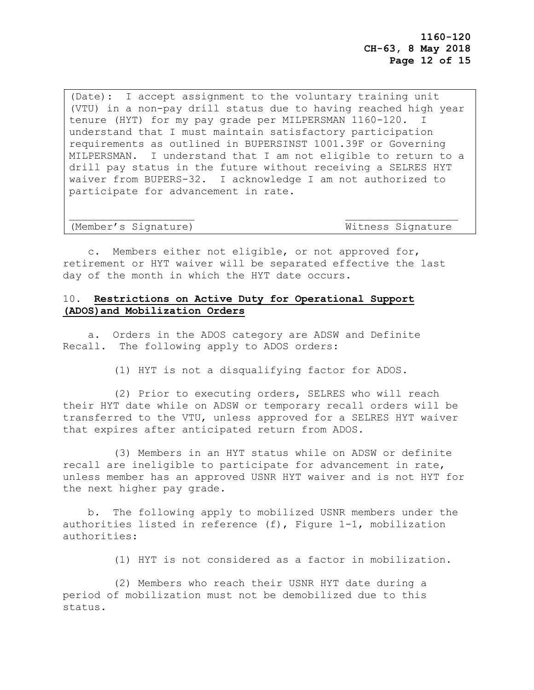(Date): I accept assignment to the voluntary training unit (VTU) in a non-pay drill status due to having reached high year tenure (HYT) for my pay grade per MILPERSMAN 1160-120. I understand that I must maintain satisfactory participation requirements as outlined in BUPERSINST 1001.39F or Governing MILPERSMAN. I understand that I am not eligible to return to a drill pay status in the future without receiving a SELRES HYT waiver from BUPERS-32. I acknowledge I am not authorized to participate for advancement in rate.

#### (Member's Signature) Mitness Signature

 c. Members either not eligible, or not approved for, retirement or HYT waiver will be separated effective the last day of the month in which the HYT date occurs.

## 10. **Restrictions on Active Duty for Operational Support (ADOS)and Mobilization Orders**

 a. Orders in the ADOS category are ADSW and Definite Recall. The following apply to ADOS orders:

(1) HYT is not a disqualifying factor for ADOS.

 (2) Prior to executing orders, SELRES who will reach their HYT date while on ADSW or temporary recall orders will be transferred to the VTU, unless approved for a SELRES HYT waiver that expires after anticipated return from ADOS.

 (3) Members in an HYT status while on ADSW or definite recall are ineligible to participate for advancement in rate, unless member has an approved USNR HYT waiver and is not HYT for the next higher pay grade.

 b. The following apply to mobilized USNR members under the authorities listed in reference (f), Figure 1-1, mobilization authorities:

(1) HYT is not considered as a factor in mobilization.

 (2) Members who reach their USNR HYT date during a period of mobilization must not be demobilized due to this status.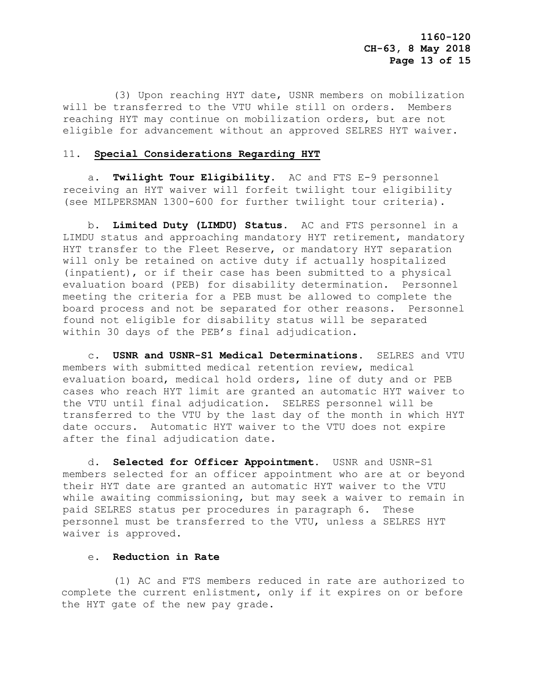(3) Upon reaching HYT date, USNR members on mobilization will be transferred to the VTU while still on orders. Members reaching HYT may continue on mobilization orders, but are not eligible for advancement without an approved SELRES HYT waiver.

#### 11. **Special Considerations Regarding HYT**

 a. **Twilight Tour Eligibility**. AC and FTS E-9 personnel receiving an HYT waiver will forfeit twilight tour eligibility (see MILPERSMAN 1300-600 for further twilight tour criteria).

 b. **Limited Duty (LIMDU) Status**. AC and FTS personnel in a LIMDU status and approaching mandatory HYT retirement, mandatory HYT transfer to the Fleet Reserve, or mandatory HYT separation will only be retained on active duty if actually hospitalized (inpatient), or if their case has been submitted to a physical evaluation board (PEB) for disability determination. Personnel meeting the criteria for a PEB must be allowed to complete the board process and not be separated for other reasons. Personnel found not eligible for disability status will be separated within 30 days of the PEB's final adjudication.

 c. **USNR and USNR-S1 Medical Determinations**. SELRES and VTU members with submitted medical retention review, medical evaluation board, medical hold orders, line of duty and or PEB cases who reach HYT limit are granted an automatic HYT waiver to the VTU until final adjudication. SELRES personnel will be transferred to the VTU by the last day of the month in which HYT date occurs. Automatic HYT waiver to the VTU does not expire after the final adjudication date.

 d. **Selected for Officer Appointment**. USNR and USNR-S1 members selected for an officer appointment who are at or beyond their HYT date are granted an automatic HYT waiver to the VTU while awaiting commissioning, but may seek a waiver to remain in paid SELRES status per procedures in paragraph 6. These personnel must be transferred to the VTU, unless a SELRES HYT waiver is approved.

#### e. **Reduction in Rate**

 (1) AC and FTS members reduced in rate are authorized to complete the current enlistment, only if it expires on or before the HYT gate of the new pay grade.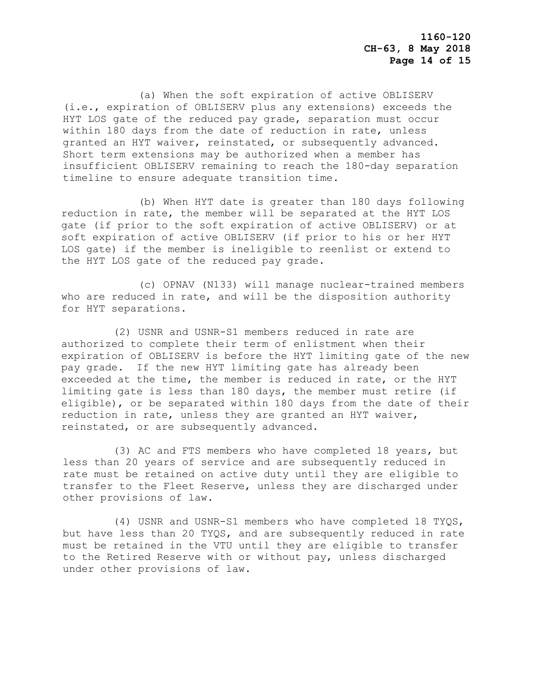(a) When the soft expiration of active OBLISERV (i.e., expiration of OBLISERV plus any extensions) exceeds the HYT LOS gate of the reduced pay grade, separation must occur within 180 days from the date of reduction in rate, unless granted an HYT waiver, reinstated, or subsequently advanced. Short term extensions may be authorized when a member has insufficient OBLISERV remaining to reach the 180-day separation timeline to ensure adequate transition time.

 (b) When HYT date is greater than 180 days following reduction in rate, the member will be separated at the HYT LOS gate (if prior to the soft expiration of active OBLISERV) or at soft expiration of active OBLISERV (if prior to his or her HYT LOS gate) if the member is ineligible to reenlist or extend to the HYT LOS gate of the reduced pay grade.

 (c) OPNAV (N133) will manage nuclear-trained members who are reduced in rate, and will be the disposition authority for HYT separations.

 (2) USNR and USNR-S1 members reduced in rate are authorized to complete their term of enlistment when their expiration of OBLISERV is before the HYT limiting gate of the new pay grade. If the new HYT limiting gate has already been exceeded at the time, the member is reduced in rate, or the HYT limiting gate is less than 180 days, the member must retire (if eligible), or be separated within 180 days from the date of their reduction in rate, unless they are granted an HYT waiver, reinstated, or are subsequently advanced.

 (3) AC and FTS members who have completed 18 years, but less than 20 years of service and are subsequently reduced in rate must be retained on active duty until they are eligible to transfer to the Fleet Reserve, unless they are discharged under other provisions of law.

 (4) USNR and USNR-S1 members who have completed 18 TYQS, but have less than 20 TYQS, and are subsequently reduced in rate must be retained in the VTU until they are eligible to transfer to the Retired Reserve with or without pay, unless discharged under other provisions of law.